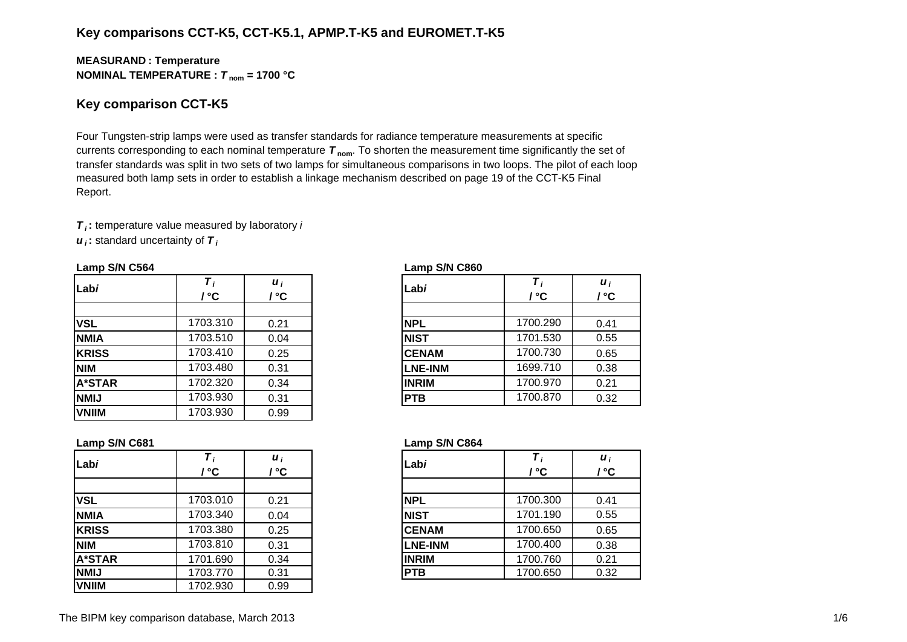## **Key comparisons CCT-K5, CCT-K5.1, APMP.T-K5 and EUROMET.T-K5**

#### **MEASURAN D : Temperature NOMINAL TEMPERATURE :**  *T* **nom = 1700 °C**

### **Key comparison CCT-K5**

Four Tungsten-strip lamps were used as transfer standards for radiance temperature measurements at specific currents corresponding to each nominal temperature *T* **nom**. To shorten the measurement time significantly the set of transfer standards was split in two sets of two lamps for simultaneous comparisons in two loops. The pilot of each loop measured both lamp sets in order to establish a linkage mechanism described on page 19 of the CCT-K5 Final Report.

*T i* **:** temperature value measured by laboratory *i u i* **:** standard uncertainty of *T i*

#### **Lamp S/N C564 Lamp S/N C860**

| Labi          | ' ℃      | $\boldsymbol{u}_i$<br>/ °C | Labi           | / °C     | $\boldsymbol{u}_i$<br>l °C |
|---------------|----------|----------------------------|----------------|----------|----------------------------|
|               |          |                            |                |          |                            |
| <b>VSL</b>    | 1703.310 | 0.21                       | <b>NPL</b>     | 1700.290 | 0.41                       |
| <b>NMIA</b>   | 1703.510 | 0.04                       | <b>NIST</b>    | 1701.530 | 0.55                       |
| <b>KRISS</b>  | 1703.410 | 0.25                       | <b>CENAM</b>   | 1700.730 | 0.65                       |
| <b>NIM</b>    | 1703.480 | 0.31                       | <b>LNE-INM</b> | 1699.710 | 0.38                       |
| <b>A*STAR</b> | 1702.320 | 0.34                       | <b>INRIM</b>   | 1700.970 | 0.21                       |
| <b>NMIJ</b>   | 1703.930 | 0.31                       | <b>PTB</b>     | 1700.870 | 0.32                       |
| <b>VNIIM</b>  | 1703.930 | 0.99                       |                |          |                            |

| i<br>C.         | Labi           | т,<br>$\mathcal{L}^{\circ}$ C | $\boldsymbol{u}_i$<br>/ °C |
|-----------------|----------------|-------------------------------|----------------------------|
| $\overline{21}$ | <b>NPL</b>     | 1700.290                      | 0.41                       |
| )4              | <b>NIST</b>    | 1701.530                      | 0.55                       |
| $\overline{25}$ | <b>CENAM</b>   | 1700.730                      | 0.65                       |
| $\overline{31}$ | <b>LNE-INM</b> | 1699.710                      | 0.38                       |
| 34              | <b>INRIM</b>   | 1700.970                      | 0.21                       |
| 31              | <b>PTB</b>     | 1700.870                      | 0.32                       |

#### **Lamp S/N C681 Lamp S/N C864**

|            | ்C       | $\boldsymbol{u}_i$<br>$\rm ^{\circ}C$ | Labi           | ' °C     | $\boldsymbol{u}_i$<br>' °C |
|------------|----------|---------------------------------------|----------------|----------|----------------------------|
|            |          |                                       |                |          |                            |
|            | 1703.010 | 0.21                                  | <b>NPL</b>     | 1700.300 | 0.41                       |
| А          | 1703.340 | 0.04                                  | <b>NIST</b>    | 1701.190 | 0.55                       |
| SS         | 1703.380 | 0.25                                  | <b>CENAM</b>   | 1700.650 | 0.65                       |
|            | 1703.810 | 0.31                                  | <b>LNE-INM</b> | 1700.400 | 0.38                       |
| <b>TAR</b> | 1701.690 | 0.34                                  | <b>INRIM</b>   | 1700.760 | 0.21                       |
|            | 1703.770 | 0.31                                  | <b>PTB</b>     | 1700.650 | 0.32                       |
|            |          |                                       |                |          |                            |

| Labi          |          | $\boldsymbol{u}_i$ | Labi           |          | $\boldsymbol{u}_i$ |
|---------------|----------|--------------------|----------------|----------|--------------------|
|               | ' °C     | ' °C               |                | / °C     | / °C               |
|               |          |                    |                |          |                    |
| <b>VSL</b>    | 1703.010 | 0.21               | <b>NPL</b>     | 1700.300 | 0.41               |
| <b>NMIA</b>   | 1703.340 | 0.04               | <b>NIST</b>    | 1701.190 | 0.55               |
| <b>KRISS</b>  | 1703.380 | 0.25               | <b>CENAM</b>   | 1700.650 | 0.65               |
| <b>NIM</b>    | 1703.810 | 0.31               | <b>LNE-INM</b> | 1700.400 | 0.38               |
| <b>A*STAR</b> | 1701.690 | 0.34               | <b>INRIM</b>   | 1700.760 | 0.21               |
| <b>NMIJ</b>   | 1703.770 | 0.31               | <b>PTB</b>     | 1700.650 | 0.32               |
| <b>VNIIM</b>  | 1702.930 | 0.99               |                |          |                    |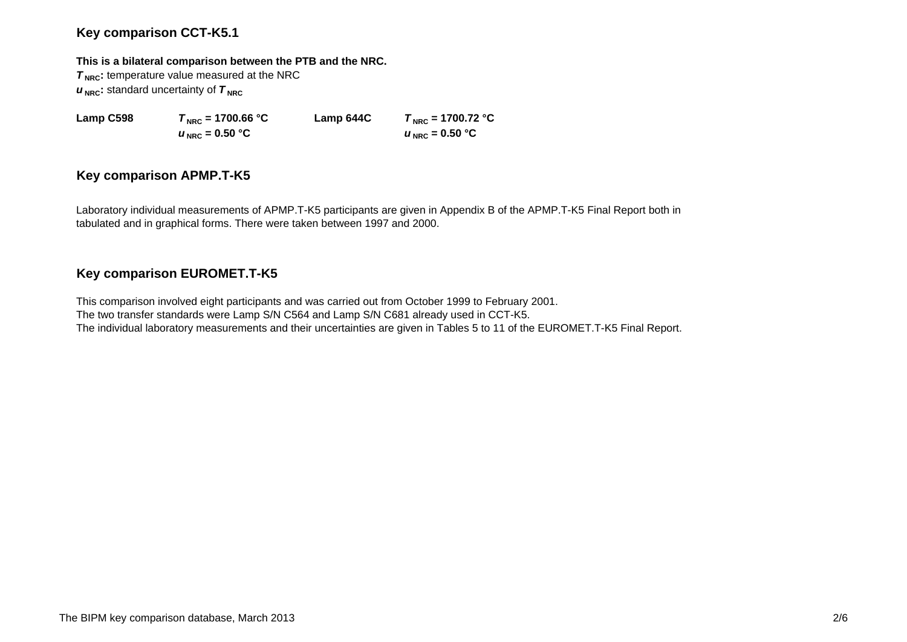## **Key comparison CCT-K5.1**

#### **This is a bilateral comparison between the PTB and the NRC.**

**T<sub>NRC</sub>**: temperature value measured at the NRC  $u_{\text{NRC}}$ : standard uncertainty of  $\tau_{\text{NRC}}$ 

 $u_{\text{NRC}}$  = 0.50 °C

**Lamp C598**  $T_{\text{NRC}} = 1700.66 \text{ °C}$  **Lamp 644C**  $T_{\text{NRC}} = 1700.72 \text{ °C}$  $U_{\text{NRC}} = 0.50$  °C

## **Key comparison APMP.T-K5**

Laboratory individual measurements of APMP.T-K5 participants are given in Appendix B of the APMP.T-K5 Final Report both in tabulated and in graphical forms. There were taken between 1997 and 2000.

# **Key comparison EUROMET.T-K5**

This comparison involved eight participants and was carried out from October 1999 to February 2001. The two transfer standards were Lamp S/N C564 and Lamp S/N C681 already used in CCT-K5. The individual laboratory measurements and their uncertainties are given in Tables 5 to 11 of the EUROMET.T-K5 Final Report.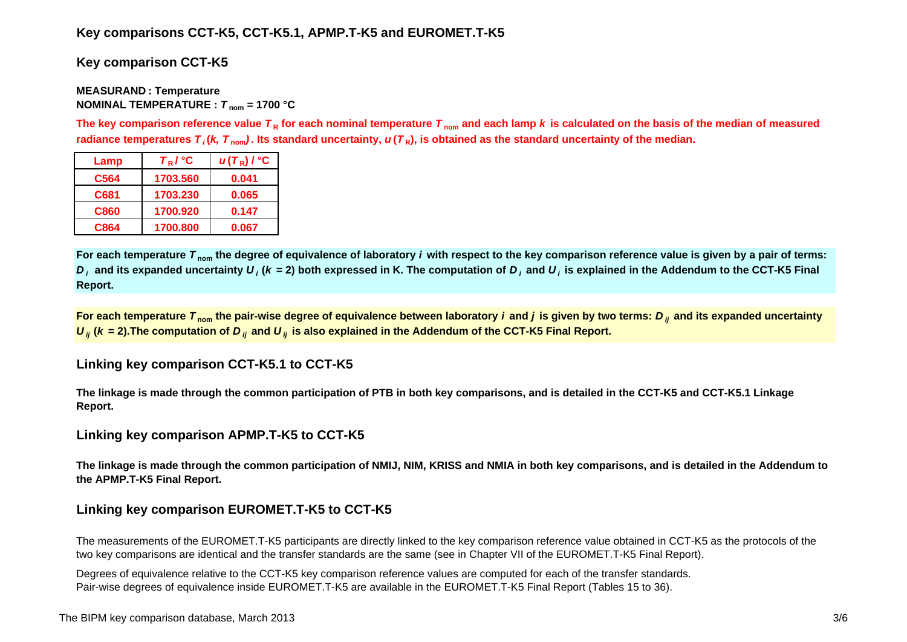# **Key comparisons CCT-K5, CCT-K5.1, APMP.T-K5 and EUROMET.T-K5**

**Key comparison CCT-K5**

#### **MEASURAN D : Temperature NOMINAL TEMPERATURE :**  *T* **nom = 1700 °C**

The key comparison reference value  $\bm{\tau}_{\mathsf{R}}$  for each nominal temperature  $\bm{\tau}_{\mathsf{nom}}$  and each lamp  $\bm{k}$  is calculated on the basis of the median of measured radiance temperatures  $\bm{\tau}_i$ (*k, T*  $_{\rm nom}$ ). Its standard uncertainty,  $\bm{u}(\bm{\tau}_{{\sf R}})$ , is obtained as the standard uncertainty of the median.

| Lamp        | $T_R$ / $^{\circ}$ C | $u(T_R)$ / $^{\circ}$ C |
|-------------|----------------------|-------------------------|
| C564        | 1703.560             | 0.041                   |
| C681        | 1703.230             | 0.065                   |
| <b>C860</b> | 1700.920             | 0.147                   |
| C864        | 1700.800             | 0.067                   |

**For each temperature**  *T* **nom the degree of equivalence of laboratory** *i* **with respect to the key comparison reference value is given by a pair of terms:**   $D_i$  and its expanded uncertainty  $U_i$  (k = 2) both expressed in K. The computation of  $D_i$  and  $U_i$  is explained in the Addendum to the CCT-K5 Final **Report.**

**For each temperature**  *T* **nom the pair-wise degree of equivalence between laboratory** *i* **and** *j* **is given by two terms:***<sup>D</sup> ij* **and its expanded uncertainty**   $U_{ij}$  ( $k$  = 2).The computation of  $D_{ij}$  and  $U_{ij}$  is also explained in the Addendum of the CCT-K5 Final Report.

## **Linking key comparison CCT-K5.1 to CCT-K5**

**The linkage is made through the common participation of PTB in both key comparisons, and is detailed in the CCT-K5 and CCT-K5.1 Linkage Report.**

# **Linking key comparison APMP.T-K5 to CCT-K5**

**The linkage is made through the common participation of NMIJ, NIM, KRISS and NMIA in both key comparisons, and is detailed in the Addendum to the APMP.T-K5 Final Report.**

# **Linking key comparison EUROMET.T-K5 to CCT-K5**

The measurements of the EUROMET.T-K5 participants are directly linked to the key comparison reference value obtained in CCT-K5 as the protocols of the two key comparisons are identical and the transfer standards are the same (see in Chapter VII of the EUROMET.T-K5 Final Report).

Degrees of equivalence relative to the CCT-K5 key comparison reference values are computed for each of the transfer standards. Pair-wise degrees of equivalence inside EUROMET.T-K5 are available in the EUROMET.T-K5 Final Report (Tables 15 to 36).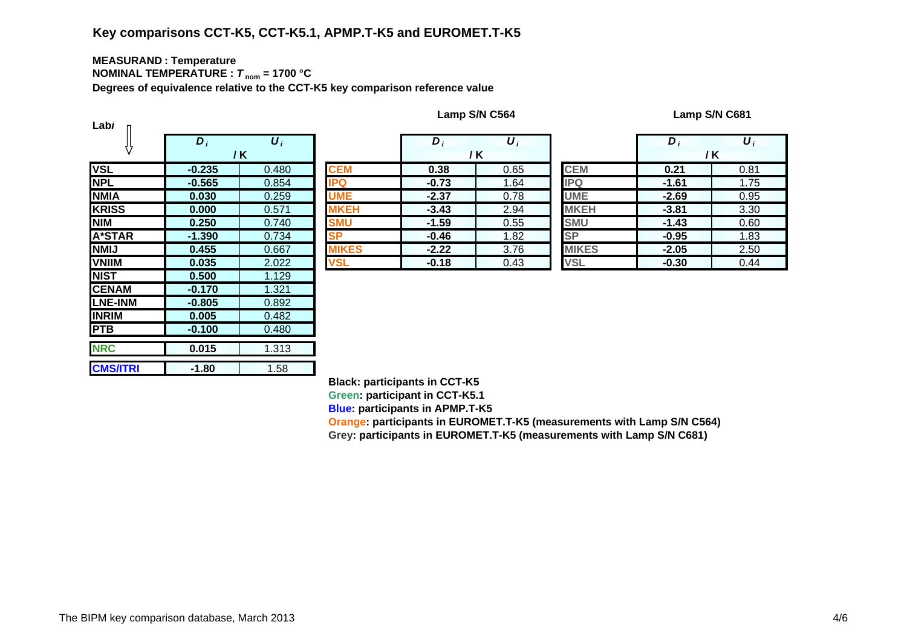# **Key comparisons CCT-K5, CCT-K5.1, APMP.T-K5 and EUROMET.T-K5**

#### **MEASURAN D : Temperature NOMINAL TEMPERATURE :**  *T* **nom = 1700 °C**

**Degrees of equivalence relative to the CCT-K5 key comparison reference value**

| Labi            |                  |                  |              |
|-----------------|------------------|------------------|--------------|
|                 | $\overline{D}_1$ | $\overline{U_i}$ |              |
|                 |                  | / K              |              |
| <b>VSL</b>      | $-0.235$         | 0.480            | <b>CEM</b>   |
| <b>NPL</b>      | $-0.565$         | 0.854            | IPQ          |
| <b>NMIA</b>     | 0.030            | 0.259            | <b>UME</b>   |
| <b>KRISS</b>    | 0.000            | 0.571            | <b>MKEH</b>  |
| <b>NIM</b>      | 0.250            | 0.740            | <b>SMU</b>   |
| <b>A*STAR</b>   | $-1.390$         | 0.734            | <b>SP</b>    |
| <b>NMIJ</b>     | 0.455            | 0.667            | <b>MIKES</b> |
| <b>VNIIM</b>    | 0.035            | 2.022            | <b>VSL</b>   |
| <b>NIST</b>     | 0.500            | 1.129            |              |
| <b>CENAM</b>    | $-0.170$         | 1.321            |              |
| <b>LNE-INM</b>  | $-0.805$         | 0.892            |              |
| <b>INRIM</b>    | 0.005            | 0.482            |              |
| <b>PTB</b>      | $-0.100$         | 0.480            |              |
| <b>NRC</b>      | 0.015            | 1.313            |              |
| <b>CMS/ITRI</b> | -1.80            | 1.58             |              |

|                               | $D_i$    | $\boldsymbol{U}_i$ |              | $\bm{D}$ | $\boldsymbol{U}_i$ |              | D       | $\boldsymbol{U}_i$ |
|-------------------------------|----------|--------------------|--------------|----------|--------------------|--------------|---------|--------------------|
|                               |          | / K                |              |          | / K                |              |         | / K                |
|                               | $-0.235$ | 0.480              | <b>CEM</b>   | 0.38     | 0.65               | <b>CEM</b>   | 0.21    | 0.81               |
|                               | $-0.565$ | 0.854              | <b>IPQ</b>   | $-0.73$  | 1.64               | <b>IPQ</b>   | $-1.61$ | 1.75               |
| А                             | 0.030    | 0.259              | <b>UME</b>   | $-2.37$  | 0.78               | <b>UME</b>   | $-2.69$ | 0.95               |
| $\overline{\text{s}}\text{s}$ | 0.000    | 0.571              | <b>MKEH</b>  | $-3.43$  | 2.94               | <b>MKEH</b>  | $-3.81$ | 3.30               |
|                               | 0.250    | 0.740              | <b>SMU</b>   | $-1.59$  | 0.55               | <b>SMU</b>   | $-1.43$ | 0.60               |
| TAR                           | $-1.390$ | 0.734              | SP           | $-0.46$  | 1.82               | <b>SP</b>    | $-0.95$ | 1.83               |
|                               | 0.455    | 0.667              | <b>MIKES</b> | $-2.22$  | 3.76               | <b>MIKES</b> | $-2.05$ | 2.50               |
| M                             | 0.035    | 2.022              | <b>VSL</b>   | $-0.18$  | 0.43               | <b>VSL</b>   | $-0.30$ | 0.44               |

|    | $\bm{D}_i$ | υ,   |                        | $\bm{D}_i$ | $\boldsymbol{U}_I$ |
|----|------------|------|------------------------|------------|--------------------|
|    |            | / K  |                        |            | / K                |
|    | 0.38       | 0.65 | <b>CEM</b>             | 0.21       | 0.81               |
|    | $-0.73$    | 1.64 | <b>IPQ</b>             | $-1.61$    | 1.75               |
|    | $-2.37$    | 0.78 | <b>UME</b>             | $-2.69$    | 0.95               |
| H  | $-3.43$    | 2.94 | <b>MKEH</b>            | $-3.81$    | 3.30               |
|    | $-1.59$    | 0.55 | <b>SMU</b>             | $-1.43$    | 0.60               |
|    | $-0.46$    | 1.82 | $\overline{\text{SP}}$ | $-0.95$    | 1.83               |
| ΞS | $-2.22$    | 3.76 | <b>MIKES</b>           | $-2.05$    | 2.50               |
|    | $-0.18$    | 0.43 | <b>VSL</b>             | $-0.30$    | 0.44               |

**Black: participants in CCT-K5**

**Green: participant in CCT-K5.1**

**Blue: participants in APMP.T-K5**

**Oran g e: participants in EUROMET.T-K5 (measurements with Lamp S/N C564) Gre y: participants in EUROMET.T-K5 (measurements with Lamp S/N C681)**

**Lamp S/N C564 Lamp S/N C681**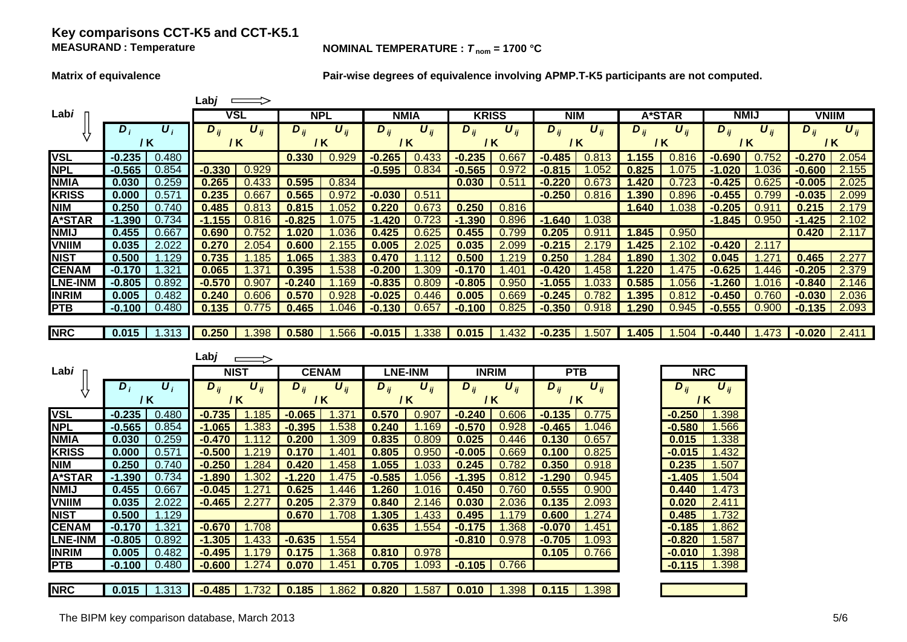## **Key comparisons CCT-K5 and CCT-K5.1 MEASURAND**

#### **NOMINAL TEMPERATURE :**  $T_{\text{nom}} = 1700 \text{ °C}$

**Matrix of equivalence Pair-wise degrees of equivalence involving APMP.T-K5 participants are not computed.**

|                |          |                  | ∟ab <i>j</i> |                       |            |                       |             |                       |              |                  |              |          |          |               |              |                       |              |                       |
|----------------|----------|------------------|--------------|-----------------------|------------|-----------------------|-------------|-----------------------|--------------|------------------|--------------|----------|----------|---------------|--------------|-----------------------|--------------|-----------------------|
| Labi           |          |                  | VSL          |                       | <b>NPL</b> |                       | <b>NMIA</b> |                       | <b>KRISS</b> |                  | <b>NIM</b>   |          |          | <b>A*STAR</b> | <b>NMIJ</b>  |                       | <b>VNIIM</b> |                       |
|                | $D_i$    | $\boldsymbol{U}$ | $D_{ii}$     | $\boldsymbol{U}_{ii}$ | $D_{ii}$   | $\boldsymbol{U}_{ii}$ | $D_{ii}$    | $\boldsymbol{U}_{ii}$ | $D_{ii}$     | $U_{ii}$         | $D_{ij}$     | $U_{ii}$ | $D_{ii}$ | $U_{ii}$      | $D_{ii}$     | $\boldsymbol{U}_{ii}$ | $D_{ij}$     | $\boldsymbol{U}_{ii}$ |
|                | / K      |                  | 7 K          |                       | / K        |                       | / K         |                       | 7 K          |                  | / K          |          |          | / K           | 7 K          |                       | / K          |                       |
| <b>VSL</b>     | $-0.235$ | 0.480            |              |                       | 0.330      | 0.929                 | $-0.265$    | 0.433                 | $-0.235$     | 5.667            | $-0.485$     | 0.813    | 155      | 0.816         | $-0.690$     | 752                   | $-0.270$     | 2.054                 |
| <b>NPL</b>     | $-0.565$ | 0.854            | $-0.330$     | 0.929                 |            |                       | $-0.595$    | 0.834                 |              |                  | $\mathbf{8}$ | 052      | 0.825    |               |              |                       | $-0.600$     | 2.155                 |
| <b>NMIA</b>    | 0.030    | 0.259            | 0.265        | 0.433                 | 0.595      | 0.834                 |             |                       | 0.030        | .5               |              |          | 420      |               |              |                       | $-0.005$     | 2.025                 |
| <b>KRISS</b>   | 0.000    | 0.571            | 0.235        | .66                   | 0.565      | 0.972                 | $-0.030$    | 0.51                  |              |                  | $-0.250$     | 0.816    | .390     | 0.896         | -0.455       |                       | -0.035       | 2.099                 |
| <b>NIM</b>     | 0.250    | 0.740            | 0.485        | ).81                  | 0.81       | .052                  | 0.220       | 0.673                 | 0.250        | 0.816            |              |          | 1.640    | .038          | $-0.205$     | .9                    | 0.21         | 2.179                 |
| <b>A*STAR</b>  | -1.390   | 0.734            | $-1.155$     | ).816                 | $-0.825$   | .075                  | 1.420<br>-1 | 0.7                   | $-1.390$     | 896.١            | $-1.640$     | .038     |          |               | $-1.845$     | 0.950                 | $-1.425$     | 2.102                 |
| <b>NMIJ</b>    | 0.455    | 0.667            | 0.690        | J.752                 | .020       | .036                  | 0.425       | 0.625                 |              | 799              | .205         |          | .845     | 0.950         |              |                       | 0.420        | 2.117                 |
| <b>VNIIM</b>   | 0.035    | 2.022            | 0.27         | 2.054                 | 0.600      | 55                    | 0.005       | 2.025                 | 0.035        | 2.099            | $-0.215$     |          | .425     | 2.102         | $-0.420$     | 2.1                   |              |                       |
| <b>NIST</b>    | 0.500    | .129             | 0.735        | .185                  | .065       | .383                  | 0.470       |                       | 0.500        | .219             | 0.250        | .284     | .890     | 302           | 0.04         |                       | 0.465        | 2.277                 |
| <b>CENAM</b>   | $-0.170$ | $\overline{321}$ | 0.065        | .37                   | 0.395      | .538                  | $-0.200$    | 309                   | $-0.1$       | .40 <sup>°</sup> | $-0.420$     | .458     | .220     | 475           | $-0.625$     | .446                  | $-0.205$     | 2.379                 |
| <b>LNE-INM</b> | $-0.805$ | 0.892            | $-0.570$     | .907                  |            | $-169$                | $-0.835$    | 0.809                 | $-0.805$     | .950             | .055         | .033     | .585     | )56           | .260         |                       | $-0.840$     | 2.146                 |
| <b>INRIM</b>   | 0.005    | 0.482            | 0.240        | 0.606                 | 0.570      | .928                  | $-0.025$    | 0.446                 |              | .669             | .245         |          | .395     |               | $\sqrt{450}$ | n                     | $-0.030$     | 2.036                 |
| <b>PTB</b>     | $-0.100$ | 0.480            | 0.135        | 0.775                 | 0.465      | .046                  | $-0.130$    | 0.657                 | $-0.100$     | 0.825            | $-0.350$     | 0.918    | .290     | 0.945         | $-0.555$     | 0.900                 | $-0.135$     | 2.093                 |
|                |          |                  |              |                       |            |                       |             |                       |              |                  |              |          |          |               |              |                       |              |                       |
| <b>NRC</b>     | 0.015    | 1.313            | 0.250        | 1.398                 | 0.580      | .566                  | $-0.015$    | .338                  | 0.015        | .432             | $-0.235$     | .507     | 1.405    | .504          | $-0.440$     | .473                  | $-0.020$     | 2.411                 |

|                |          |                           | Labj     |                              |            |                              |            |                              |              |                              |                       |                              |                 |                       |
|----------------|----------|---------------------------|----------|------------------------------|------------|------------------------------|------------|------------------------------|--------------|------------------------------|-----------------------|------------------------------|-----------------|-----------------------|
| Labi           |          |                           |          | <b>NIST</b>                  |            | <b>CENAM</b>                 |            | <b>LNE-INM</b>               | <b>INRIM</b> |                              | <b>PTB</b>            |                              | <b>NRC</b>      |                       |
|                | $D_i$    | $\boldsymbol{U}_i$<br>/ K | $D_{ii}$ | $\boldsymbol{U}_{ij}$<br>/ K | $D_{ij}$   | $\boldsymbol{U}_{ij}$<br>/ K | $D_{ij}$   | $\boldsymbol{U}_{ij}$<br>/ K | $D_{ij}$     | $\boldsymbol{U}_{ij}$<br>/ K | $D_{ij}$              | $\boldsymbol{U}_{ij}$<br>/ K | $D_{ij}$<br>7 K | $\boldsymbol{U}_{ij}$ |
| <b>VSL</b>     | $-0.235$ | 0.480                     | $-0.735$ | l.185                        | $-0.065$   | 37                           | 0.570      | 0.907                        | $-0.240$     | 0.606                        | $-0.135$              | 0.775                        | $-0.250$        | .398                  |
| <b>NPL</b>     | $-0.565$ | 0.854                     | $-1.065$ | .383                         | $-0.395$   | .538                         | 0.240      | .169                         | $-0.570$     | 0.928                        | $-0.465$              | .046                         | $-0.580$        | .566                  |
| <b>NMIA</b>    | 0.030    | 0.259                     | $-0.470$ |                              | 0.200      | .309                         | 0.835      | 0.809                        | 0.025        | 0.446                        | 0.130                 | 0.657                        | 0.015           | .338                  |
| <b>KRISS</b>   | 0.000    | 0.571                     | $-0.500$ | .219                         | 0.170      | .401                         | 0.805      | 0.950                        | $-0.005$     | 0.669                        | 0.100                 | 0.825                        | $-0.015$        | .432                  |
| <b>NIM</b>     | 0.250    | 0.740                     | $-0.250$ | .284                         | 0.420      | .458                         | 1.055      | .033                         | 0.245        | 0.782                        | 0.350                 | 0.918                        | 0.235           | .507                  |
| <b>A*STAR</b>  | $-1.390$ | 0.734                     | $-1.890$ | .302                         | .220<br>-1 | .475                         | $-0.585$   | .056                         | $-1.395$     | 0.812                        | $-1.290$              | 0.945                        | $-1.405$        | .504                  |
| <b>NMIJ</b>    | 0.455    | 0.667                     | $-0.045$ |                              | 0.625      | .446                         | .260       | .016                         | 0.450        | 0.760                        | 0.555                 | 0.900                        | 0.440           | .473                  |
| <b>VNIIM</b>   | 0.035    | 2.022                     | $-0.465$ | 2.27                         | 0.205      | 2.379                        | 0.840      | 2.146                        | 0.030        | 2.036                        | 0.135                 | 2.093                        | 0.020           | 2.411                 |
| <b>NIST</b>    | 0.500    | 1.129                     |          |                              | 0.670      | 1.708                        | 1.305      | .433                         | 0.495        | 1.179                        | 0.600                 | .274                         | 0.485           | 1.732                 |
| <b>CENAM</b>   | $-0.170$ | .321                      | $-0.670$ | 1.708                        |            |                              | 0.635      | .554                         | $-0.175$     | .368                         | $-0.070$              | .451                         | $-0.185$        | .862                  |
| <b>LNE-INM</b> | $-0.805$ | 0.892                     | $-1.305$ | .433                         | $-0.635$   | .554                         |            |                              | $-0.810$     | 0.978                        | $-0.705$              | 1.093                        | $-0.820$        | .587                  |
| <b>INRIM</b>   | 0.005    | 0.482                     | $-0.495$ | 79                           | 0.175      | .368                         | 0.810      | 0.978                        |              |                              | 0.105                 | 0.766                        | $-0.010$        | .398                  |
| <b>PTB</b>     | $-0.100$ | 0.480                     | $-0.600$ | .274                         | 0.070      | .451                         | .705<br>0. | .093                         | $-0.105$     | 0.766                        |                       |                              | $-0.115$        | .398                  |
| <b>INRC</b>    | 0.015    | .313                      | $-0.485$ | 1.732                        | 0.185      | .862                         | 0.820      | .587                         | 0.010        | .398                         | $\vert$ 0.115 $\vert$ | 1.398                        |                 |                       |

| <b>NRC</b>          |                         |  |  |  |  |  |
|---------------------|-------------------------|--|--|--|--|--|
| $\overline{D}_{ij}$ | $\bm{U}_{ij}$           |  |  |  |  |  |
|                     | / K                     |  |  |  |  |  |
| 0.250               | 1.398                   |  |  |  |  |  |
| 0.580               | 1.566                   |  |  |  |  |  |
| 0.015               | 1.338                   |  |  |  |  |  |
| 0.015               | 1.432                   |  |  |  |  |  |
| 0.235               | 1.507                   |  |  |  |  |  |
| 1.405               | 1.504                   |  |  |  |  |  |
| 0.440               | 1.473                   |  |  |  |  |  |
| 0.020               | 2.411                   |  |  |  |  |  |
| 0.485               | 1.732                   |  |  |  |  |  |
| 0.185               | 1.862                   |  |  |  |  |  |
| 0.820               | 1.587                   |  |  |  |  |  |
| 0.010               | 1.398                   |  |  |  |  |  |
| 0.115               | $\overline{1}$ .<br>398 |  |  |  |  |  |